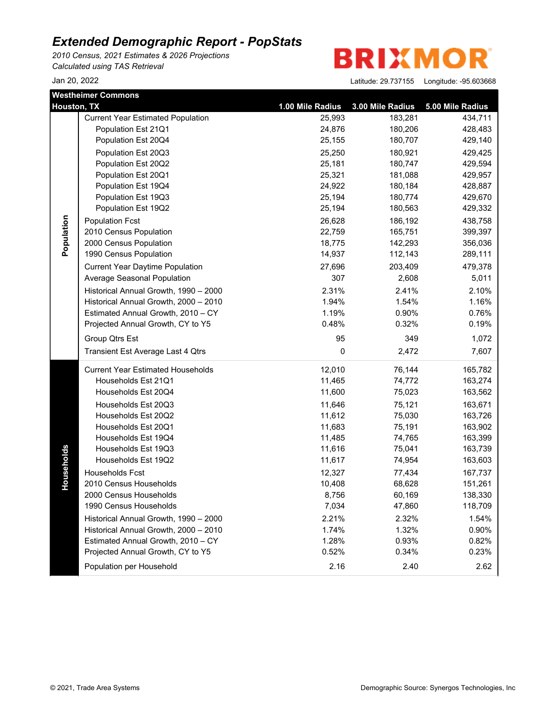*2010 Census, 2021 Estimates & 2026 Projections Calculated using TAS Retrieval*

**BRIXMOR** 

|             | <b>Westheimer Commons</b>                |                  |                  |                  |
|-------------|------------------------------------------|------------------|------------------|------------------|
| Houston, TX |                                          | 1.00 Mile Radius | 3.00 Mile Radius | 5.00 Mile Radius |
|             | <b>Current Year Estimated Population</b> | 25,993           | 183,281          | 434,711          |
|             | Population Est 21Q1                      | 24,876           | 180,206          | 428,483          |
|             | Population Est 20Q4                      | 25,155           | 180,707          | 429,140          |
|             | Population Est 20Q3                      | 25,250           | 180,921          | 429,425          |
|             | Population Est 20Q2                      | 25,181           | 180,747          | 429,594          |
|             | Population Est 20Q1                      | 25,321           | 181,088          | 429,957          |
|             | Population Est 19Q4                      | 24,922           | 180,184          | 428,887          |
|             | Population Est 19Q3                      | 25,194           | 180,774          | 429,670          |
|             | Population Est 19Q2                      | 25,194           | 180,563          | 429,332          |
| Population  | <b>Population Fcst</b>                   | 26,628           | 186,192          | 438,758          |
|             | 2010 Census Population                   | 22,759           | 165,751          | 399,397          |
|             | 2000 Census Population                   | 18,775           | 142,293          | 356,036          |
|             | 1990 Census Population                   | 14,937           | 112,143          | 289,111          |
|             | <b>Current Year Daytime Population</b>   | 27,696           | 203,409          | 479,378          |
|             | Average Seasonal Population              | 307              | 2,608            | 5,011            |
|             | Historical Annual Growth, 1990 - 2000    | 2.31%            | 2.41%            | 2.10%            |
|             | Historical Annual Growth, 2000 - 2010    | 1.94%            | 1.54%            | 1.16%            |
|             | Estimated Annual Growth, 2010 - CY       | 1.19%            | 0.90%            | 0.76%            |
|             | Projected Annual Growth, CY to Y5        | 0.48%            | 0.32%            | 0.19%            |
|             | Group Qtrs Est                           | 95               | 349              | 1,072            |
|             | Transient Est Average Last 4 Qtrs        | 0                | 2,472            | 7,607            |
|             | <b>Current Year Estimated Households</b> | 12,010           | 76,144           | 165,782          |
|             | Households Est 21Q1                      | 11,465           | 74,772           | 163,274          |
|             | Households Est 20Q4                      | 11,600           | 75,023           | 163,562          |
|             | Households Est 20Q3                      | 11,646           | 75,121           | 163,671          |
|             | Households Est 20Q2                      | 11,612           | 75,030           | 163,726          |
|             | Households Est 20Q1                      | 11,683           | 75,191           | 163,902          |
|             | Households Est 19Q4                      | 11,485           | 74,765           | 163,399          |
|             | Households Est 19Q3                      | 11,616           | 75,041           | 163,739          |
| Households  | Households Est 19Q2                      | 11,617           | 74,954           | 163,603          |
|             | Households Fcst                          | 12,327           | 77,434           | 167,737          |
|             | 2010 Census Households                   | 10,408           | 68,628           | 151,261          |
|             | 2000 Census Households                   | 8,756            | 60,169           | 138,330          |
|             | 1990 Census Households                   | 7,034            | 47,860           | 118,709          |
|             | Historical Annual Growth, 1990 - 2000    | 2.21%            | 2.32%            | 1.54%            |
|             | Historical Annual Growth, 2000 - 2010    | 1.74%            | 1.32%            | 0.90%            |
|             | Estimated Annual Growth, 2010 - CY       | 1.28%            | 0.93%            | 0.82%            |
|             | Projected Annual Growth, CY to Y5        | 0.52%            | 0.34%            | 0.23%            |
|             | Population per Household                 | 2.16             | 2.40             | 2.62             |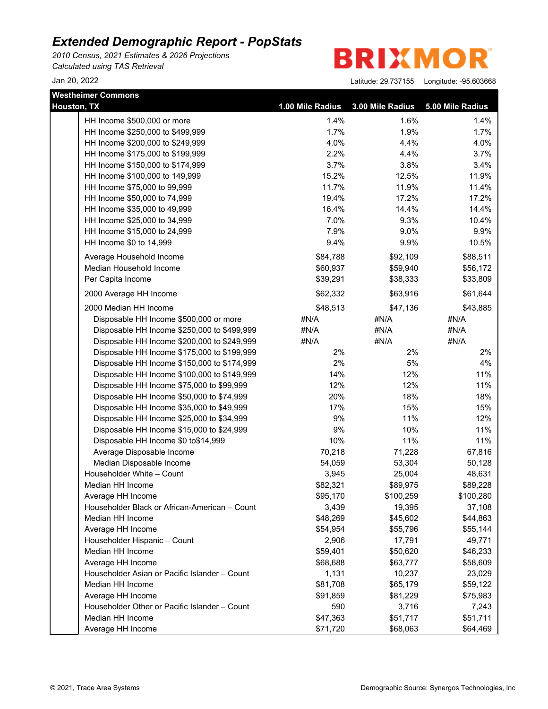*2010 Census, 2021 Estimates & 2026 Projections Calculated using TAS Retrieval*

**BRIXMOR** 

| <b>Westheimer Commons</b>                     |                      |                  |                  |
|-----------------------------------------------|----------------------|------------------|------------------|
| Houston, TX                                   | 1.00 Mile Radius     | 3.00 Mile Radius | 5.00 Mile Radius |
| HH Income \$500,000 or more                   | 1.4%                 | 1.6%             | 1.4%             |
| HH Income \$250,000 to \$499,999              | 1.7%                 | 1.9%             | 1.7%             |
| HH Income \$200,000 to \$249,999              | 4.0%                 | 4.4%             | 4.0%             |
| HH Income \$175,000 to \$199,999              | 2.2%                 | 4.4%             | 3.7%             |
| HH Income \$150,000 to \$174,999              | 3.7%                 | 3.8%             | 3.4%             |
| HH Income \$100,000 to 149,999                | 15.2%                | 12.5%            | 11.9%            |
| HH Income \$75,000 to 99,999                  | 11.7%                | 11.9%            | 11.4%            |
| HH Income \$50,000 to 74,999                  | 19.4%                | 17.2%            | 17.2%            |
| HH Income \$35,000 to 49,999                  | 16.4%                | 14.4%            | 14.4%            |
| HH Income \$25,000 to 34,999                  | 7.0%                 | 9.3%             | 10.4%            |
| HH Income \$15,000 to 24,999                  | 7.9%                 | 9.0%             | 9.9%             |
| HH Income \$0 to 14,999                       | 9.4%                 | 9.9%             | 10.5%            |
|                                               |                      |                  |                  |
| Average Household Income                      | \$84,788<br>\$60,937 | \$92,109         | \$88,511         |
| Median Household Income                       |                      | \$59,940         | \$56,172         |
| Per Capita Income                             | \$39,291             | \$38,333         | \$33,809         |
| 2000 Average HH Income                        | \$62,332             | \$63,916         | \$61,644         |
| 2000 Median HH Income                         | \$48,513             | \$47,136         | \$43,885         |
| Disposable HH Income \$500,000 or more        | #N/A                 | #N/A             | #N/A             |
| Disposable HH Income \$250,000 to \$499,999   | #N/A                 | #N/A             | #N/A             |
| Disposable HH Income \$200,000 to \$249,999   | #N/A                 | #N/A             | #N/A             |
| Disposable HH Income \$175,000 to \$199,999   | 2%                   | 2%               | 2%               |
| Disposable HH Income \$150,000 to \$174,999   | 2%                   | 5%               | 4%               |
| Disposable HH Income \$100,000 to \$149,999   | 14%                  | 12%              | 11%              |
| Disposable HH Income \$75,000 to \$99,999     | 12%                  | 12%              | 11%              |
| Disposable HH Income \$50,000 to \$74,999     | 20%                  | 18%              | 18%              |
| Disposable HH Income \$35,000 to \$49,999     | 17%                  | 15%              | 15%              |
| Disposable HH Income \$25,000 to \$34,999     | 9%                   | 11%              | 12%              |
| Disposable HH Income \$15,000 to \$24,999     | 9%                   | 10%              | 11%              |
| Disposable HH Income \$0 to\$14,999           | 10%                  | 11%              | 11%              |
| Average Disposable Income                     | 70,218               | 71,228           | 67,816           |
| Median Disposable Income                      | 54,059               | 53,304           | 50,128           |
| Householder White - Count                     | 3,945                | 25,004           | 48,631           |
| Median HH Income                              | \$82,321             | \$89,975         | \$89,228         |
| Average HH Income                             | \$95,170             | \$100,259        | \$100,280        |
| Householder Black or African-American - Count | 3,439                | 19,395           | 37,108           |
| Median HH Income                              | \$48,269             | \$45,602         | \$44,863         |
| Average HH Income                             | \$54,954             | \$55,796         | \$55,144         |
| Householder Hispanic - Count                  | 2,906                | 17,791           | 49,771           |
| Median HH Income                              | \$59,401             | \$50,620         | \$46,233         |
| Average HH Income                             | \$68,688             | \$63,777         | \$58,609         |
| Householder Asian or Pacific Islander - Count | 1,131                | 10,237           | 23,029           |
| Median HH Income                              | \$81,708             | \$65,179         | \$59,122         |
| Average HH Income                             | \$91,859             | \$81,229         | \$75,983         |
| Householder Other or Pacific Islander - Count | 590                  | 3,716            | 7,243            |
| Median HH Income                              | \$47,363             | \$51,717         | \$51,711         |
| Average HH Income                             | \$71,720             | \$68,063         | \$64,469         |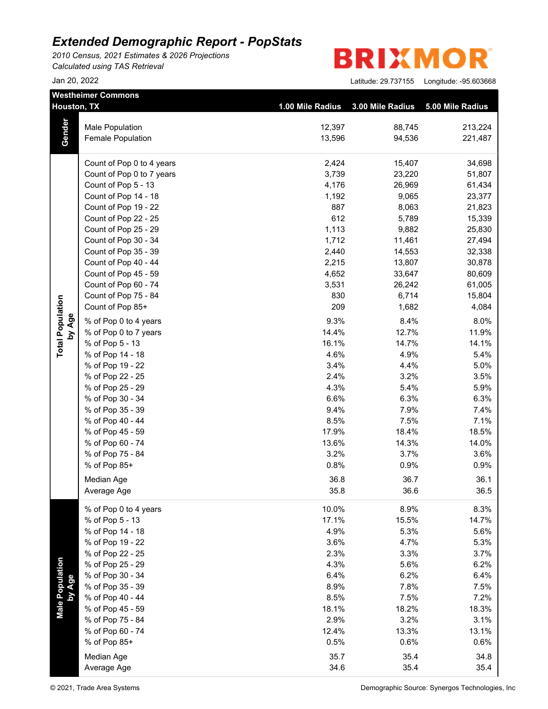*2010 Census, 2021 Estimates & 2026 Projections Calculated using TAS Retrieval*

|                           | <b>Westheimer Commons</b>            |                  |                  |                  |
|---------------------------|--------------------------------------|------------------|------------------|------------------|
| Houston, TX               |                                      | 1.00 Mile Radius | 3.00 Mile Radius | 5.00 Mile Radius |
|                           | <b>Male Population</b>               | 12,397           | 88,745           | 213,224          |
| Gender                    | Female Population                    | 13,596           | 94,536           | 221,487          |
|                           |                                      |                  |                  |                  |
|                           | Count of Pop 0 to 4 years            | 2,424            | 15,407           | 34,698           |
|                           | Count of Pop 0 to 7 years            | 3,739            | 23,220           | 51,807           |
|                           | Count of Pop 5 - 13                  | 4,176            | 26,969           | 61,434           |
|                           | Count of Pop 14 - 18                 | 1,192            | 9,065            | 23,377           |
|                           | Count of Pop 19 - 22                 | 887              | 8,063            | 21,823           |
|                           | Count of Pop 22 - 25                 | 612              | 5,789            | 15,339           |
|                           | Count of Pop 25 - 29                 | 1,113            | 9,882            | 25,830           |
|                           | Count of Pop 30 - 34                 | 1,712            | 11,461           | 27,494           |
|                           | Count of Pop 35 - 39                 | 2,440            | 14,553           | 32,338           |
|                           | Count of Pop 40 - 44                 | 2,215            | 13,807           | 30,878           |
|                           | Count of Pop 45 - 59                 | 4,652            | 33,647           | 80,609           |
|                           | Count of Pop 60 - 74                 | 3,531            | 26,242           | 61,005           |
|                           | Count of Pop 75 - 84                 | 830              | 6,714            | 15,804           |
|                           | Count of Pop 85+                     | 209              | 1,682            | 4,084            |
| by Age                    | % of Pop 0 to 4 years                | 9.3%             | 8.4%             | 8.0%             |
|                           | % of Pop 0 to 7 years                | 14.4%            | 12.7%            | 11.9%            |
| <b>Total Population</b>   | % of Pop 5 - 13                      | 16.1%            | 14.7%            | 14.1%            |
|                           | % of Pop 14 - 18                     | 4.6%             | 4.9%             | 5.4%             |
|                           | % of Pop 19 - 22                     | 3.4%             | 4.4%             | 5.0%             |
|                           | % of Pop 22 - 25                     | 2.4%             | 3.2%             | 3.5%             |
|                           | % of Pop 25 - 29                     | 4.3%             | 5.4%             | 5.9%             |
|                           | % of Pop 30 - 34<br>% of Pop 35 - 39 | 6.6%             | 6.3%             | 6.3%             |
|                           |                                      | 9.4%             | 7.9%             | 7.4%             |
|                           | % of Pop 40 - 44                     | 8.5%             | 7.5%             | 7.1%             |
|                           | % of Pop 45 - 59                     | 17.9%            | 18.4%            | 18.5%            |
|                           | % of Pop 60 - 74                     | 13.6%            | 14.3%            | 14.0%            |
|                           | % of Pop 75 - 84                     | 3.2%             | 3.7%             | 3.6%             |
|                           | % of Pop 85+                         | 0.8%             | 0.9%             | 0.9%             |
|                           | Median Age                           | 36.8             | 36.7             | 36.1             |
|                           | Average Age                          | 35.8             | 36.6             | 36.5             |
|                           | % of Pop 0 to 4 years                | 10.0%            | 8.9%             | 8.3%             |
|                           | % of Pop 5 - 13                      | 17.1%            | 15.5%            | 14.7%            |
|                           | % of Pop 14 - 18                     | 4.9%             | 5.3%             | 5.6%             |
|                           | % of Pop 19 - 22                     | 3.6%             | 4.7%             | 5.3%             |
|                           | % of Pop 22 - 25                     | 2.3%             | 3.3%             | 3.7%             |
| Male Population<br>by Age | % of Pop 25 - 29                     | 4.3%             | 5.6%             | 6.2%             |
|                           | % of Pop 30 - 34                     | 6.4%             | 6.2%             | 6.4%             |
|                           | % of Pop 35 - 39                     | 8.9%             | 7.8%             | 7.5%             |
|                           | % of Pop 40 - 44                     | 8.5%             | 7.5%             | 7.2%             |
|                           | % of Pop 45 - 59                     | 18.1%            | 18.2%            | 18.3%            |
|                           | % of Pop 75 - 84                     | 2.9%             | 3.2%             | 3.1%             |
|                           | % of Pop 60 - 74                     | 12.4%            | 13.3%            | 13.1%            |
|                           | % of Pop 85+                         | 0.5%             | 0.6%             | 0.6%             |
|                           | Median Age                           | 35.7             | 35.4             | 34.8             |
|                           | Average Age                          | 34.6             | 35.4             | 35.4             |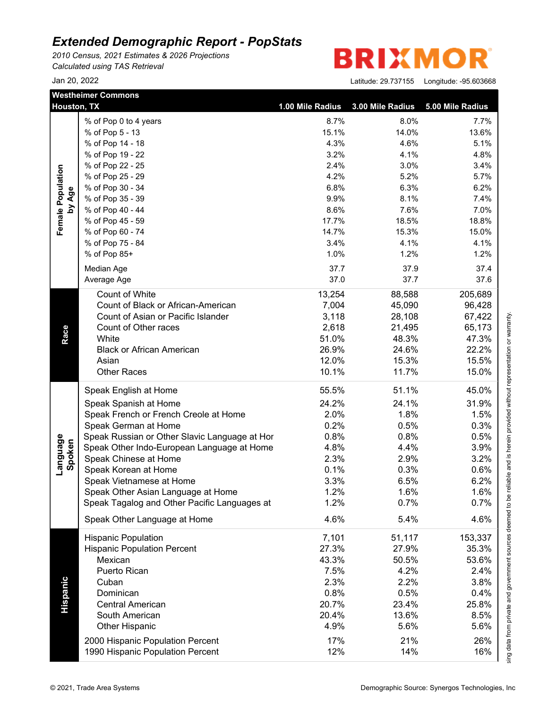*2010 Census, 2021 Estimates & 2026 Projections Calculated using TAS Retrieval*

R **BRIXMO** 

|                    | <b>Westheimer Commons</b><br><b>Houston, TX</b> | 1.00 Mile Radius | 3.00 Mile Radius | 5.00 Mile Radius |
|--------------------|-------------------------------------------------|------------------|------------------|------------------|
|                    | % of Pop 0 to 4 years                           | 8.7%             | 8.0%             | 7.7%             |
|                    | % of Pop 5 - 13                                 | 15.1%            | 14.0%            | 13.6%            |
|                    | % of Pop 14 - 18                                | 4.3%             | 4.6%             | 5.1%             |
|                    | % of Pop 19 - 22                                | 3.2%             | 4.1%             | 4.8%             |
|                    | % of Pop 22 - 25                                | 2.4%             | 3.0%             | 3.4%             |
|                    | % of Pop 25 - 29                                | 4.2%             | 5.2%             | 5.7%             |
|                    | % of Pop 30 - 34                                | 6.8%             | 6.3%             | 6.2%             |
| by Age             | % of Pop 35 - 39                                | 9.9%             | 8.1%             | 7.4%             |
|                    | % of Pop 40 - 44                                | 8.6%             | 7.6%             | 7.0%             |
|                    | % of Pop 45 - 59                                | 17.7%            | 18.5%            | 18.8%            |
|                    | % of Pop 60 - 74                                | 14.7%            | 15.3%            | 15.0%            |
|                    | % of Pop 75 - 84                                | 3.4%             | 4.1%             | 4.1%             |
|                    | % of Pop 85+                                    | 1.0%             | 1.2%             | 1.2%             |
|                    | Median Age                                      | 37.7             | 37.9             | 37.4             |
|                    | Average Age                                     | 37.0             | 37.7             | 37.6             |
|                    |                                                 |                  |                  |                  |
|                    | Count of White                                  | 13,254           | 88,588           | 205,689          |
|                    | Count of Black or African-American              | 7,004            | 45,090           | 96,428           |
|                    | Count of Asian or Pacific Islander              | 3,118            | 28,108           | 67,422           |
|                    | Count of Other races                            | 2,618            | 21,495           | 65,173           |
|                    | White                                           | 51.0%            | 48.3%            | 47.3%            |
|                    | <b>Black or African American</b>                | 26.9%            | 24.6%            | 22.2%            |
|                    | Asian                                           | 12.0%            | 15.3%            | 15.5%            |
|                    | <b>Other Races</b>                              | 10.1%            | 11.7%            | 15.0%            |
|                    | Speak English at Home                           | 55.5%            | 51.1%            | 45.0%            |
|                    | Speak Spanish at Home                           | 24.2%            | 24.1%            | 31.9%            |
|                    | Speak French or French Creole at Home           | 2.0%             | 1.8%             | 1.5%             |
|                    | Speak German at Home                            | 0.2%             | 0.5%             | 0.3%             |
|                    | Speak Russian or Other Slavic Language at Hor   | 0.8%             | 0.8%             | 0.5%             |
| Language<br>Spoken | Speak Other Indo-European Language at Home      | 4.8%             | 4.4%             | 3.9%             |
|                    | Speak Chinese at Home                           | 2.3%             | 2.9%             | 3.2%             |
|                    | Speak Korean at Home                            | 0.1%             | 0.3%             | 0.6%             |
|                    | Speak Vietnamese at Home                        | 3.3%             | 6.5%             | 6.2%             |
|                    | Speak Other Asian Language at Home              | 1.2%             | $1.6\%$          | 1.6%             |
|                    | Speak Tagalog and Other Pacific Languages at    | 1.2%             | 0.7%             | 0.7%             |
|                    | Speak Other Language at Home                    | 4.6%             | 5.4%             | 4.6%             |
|                    | <b>Hispanic Population</b>                      | 7,101            | 51,117           | 153,337          |
|                    | <b>Hispanic Population Percent</b>              | 27.3%            | 27.9%            | 35.3%            |
|                    | Mexican                                         | 43.3%            | 50.5%            | 53.6%            |
|                    | Puerto Rican                                    | 7.5%             | 4.2%             | 2.4%             |
|                    | Cuban                                           | 2.3%             | 2.2%             | 3.8%             |
|                    | Dominican                                       | 0.8%             | 0.5%             | 0.4%             |
|                    | <b>Central American</b>                         |                  |                  |                  |
|                    |                                                 | 20.7%            | 23.4%            | 25.8%            |
| Hispanic           | South American                                  | 20.4%            | 13.6%            | 8.5%             |
|                    | <b>Other Hispanic</b>                           | 4.9%             | 5.6%             | 5.6%             |
|                    | 2000 Hispanic Population Percent                | 17%              | 21%              | 26%              |
|                    | 1990 Hispanic Population Percent                | 12%              | 14%              | 16%              |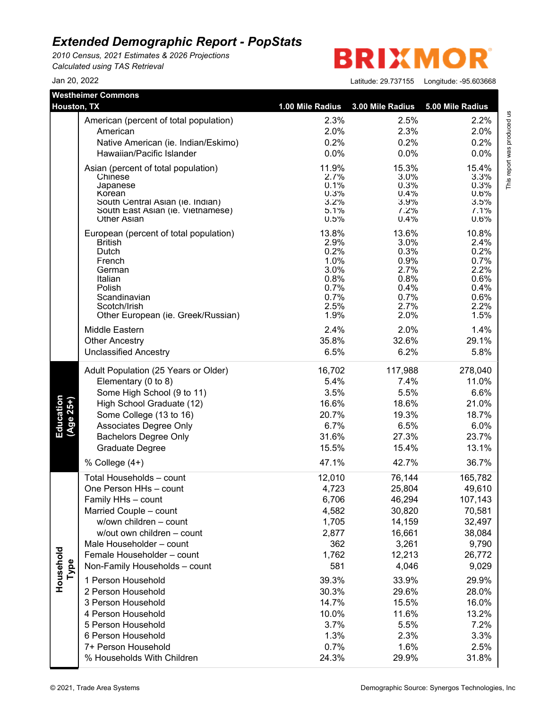*2010 Census, 2021 Estimates & 2026 Projections Calculated using TAS Retrieval*

**BRIXMOR** 

| <br>00.00000 |  |
|--------------|--|
|              |  |

| <b>Westheimer Commons</b><br><b>Houston, TX</b> |                                        |                  |                  |                  |
|-------------------------------------------------|----------------------------------------|------------------|------------------|------------------|
|                                                 |                                        | 1.00 Mile Radius | 3.00 Mile Radius | 5.00 Mile Radius |
|                                                 | American (percent of total population) | 2.3%             | 2.5%             | 2.2%             |
|                                                 | American                               | 2.0%             | 2.3%             | 2.0%             |
|                                                 | Native American (ie. Indian/Eskimo)    | 0.2%             | 0.2%             | 0.2%             |
|                                                 | Hawaiian/Pacific Islander              | 0.0%             | 0.0%             | 0.0%             |
|                                                 | Asian (percent of total population)    | 11.9%            | 15.3%            | 15.4%            |
|                                                 | Chinese                                | 2.7%             | 3.0%             | 3.3%             |
|                                                 | Japanese<br>Korean                     | 0.1%<br>0.3%     | 0.3%<br>0.4%     | 0.3%<br>0.6%     |
|                                                 | South Central Asian (ie. Indian)       | 3.2%             | 3.9%             | 3.5%             |
|                                                 | South East Asian (ie. Vietnamese)      | 5.1%             | 7.2%             | 7.1%             |
|                                                 | <b>Other Asian</b>                     | 0.5%             | 0.4%             | 0.6%             |
|                                                 | European (percent of total population) | 13.8%            | 13.6%            | 10.8%            |
|                                                 | <b>British</b>                         | 2.9%<br>0.2%     | 3.0%<br>0.3%     | 2.4%             |
|                                                 | Dutch<br>French                        | 1.0%             | 0.9%             | 0.2%<br>0.7%     |
|                                                 | German                                 | 3.0%             | 2.7%             | 2.2%             |
|                                                 | Italian                                | 0.8%             | 0.8%             | 0.6%             |
|                                                 | Polish                                 | 0.7%             | 0.4%             | 0.4%             |
|                                                 | Scandinavian<br>Scotch/Irish           | 0.7%<br>2.5%     | 0.7%<br>2.7%     | 0.6%<br>2.2%     |
|                                                 | Other European (ie. Greek/Russian)     | 1.9%             | 2.0%             | 1.5%             |
|                                                 | Middle Eastern                         | 2.4%             | 2.0%             | 1.4%             |
|                                                 | <b>Other Ancestry</b>                  | 35.8%            | 32.6%            | 29.1%            |
|                                                 | <b>Unclassified Ancestry</b>           | 6.5%             | 6.2%             | 5.8%             |
|                                                 | Adult Population (25 Years or Older)   | 16,702           | 117,988          | 278,040          |
|                                                 | Elementary (0 to 8)                    | 5.4%             | 7.4%             | 11.0%            |
|                                                 | Some High School (9 to 11)             | 3.5%             | 5.5%             | 6.6%             |
| Education<br>$(Age 25+)$                        | High School Graduate (12)              | 16.6%            | 18.6%            | 21.0%            |
|                                                 | Some College (13 to 16)                | 20.7%            | 19.3%            | 18.7%            |
|                                                 | Associates Degree Only                 | 6.7%             | 6.5%             | 6.0%             |
|                                                 | <b>Bachelors Degree Only</b>           | 31.6%            | 27.3%            | 23.7%            |
|                                                 | <b>Graduate Degree</b>                 | 15.5%            | 15.4%            | 13.1%            |
|                                                 | % College $(4+)$                       | 47.1%            | 42.7%            | 36.7%            |
|                                                 | Total Households - count               | 12,010           | 76,144           | 165,782          |
|                                                 | One Person HHs - count                 | 4,723            | 25,804           | 49,610           |
|                                                 | Family HHs - count                     | 6,706            | 46,294           | 107,143          |
|                                                 | Married Couple - count                 | 4,582            | 30,820           | 70,581           |
|                                                 | w/own children - count                 | 1,705            | 14,159           | 32,497           |
|                                                 | w/out own children - count             | 2,877            | 16,661           | 38,084           |
|                                                 | Male Householder - count               | 362              | 3,261            | 9,790            |
|                                                 | Female Householder - count             | 1,762            | 12,213           | 26,772           |
| Household<br>Type                               | Non-Family Households - count          | 581              | 4,046            | 9,029            |
|                                                 | 1 Person Household                     | 39.3%            | 33.9%            | 29.9%            |
|                                                 | 2 Person Household                     | 30.3%            | 29.6%            | 28.0%            |
|                                                 | 3 Person Household                     | 14.7%            | 15.5%            | 16.0%            |
|                                                 | 4 Person Household                     | 10.0%            | 11.6%            | 13.2%            |
|                                                 | 5 Person Household                     | 3.7%             | 5.5%             | 7.2%             |
|                                                 | 6 Person Household                     | 1.3%             | 2.3%             | 3.3%             |
|                                                 | 7+ Person Household                    | 0.7%             | 1.6%             | 2.5%             |
|                                                 | % Households With Children             | 24.3%            | 29.9%            | 31.8%            |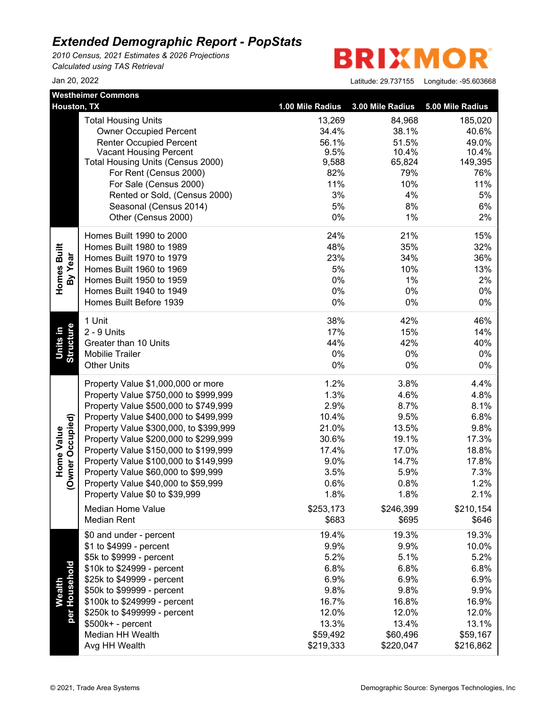*2010 Census, 2021 Estimates & 2026 Projections Calculated using TAS Retrieval*

**BRIXMOR** 

|                                | <b>Westheimer Commons</b>              |                  |                  |                  |
|--------------------------------|----------------------------------------|------------------|------------------|------------------|
| Houston, TX                    |                                        | 1.00 Mile Radius | 3.00 Mile Radius | 5.00 Mile Radius |
|                                | <b>Total Housing Units</b>             | 13,269           | 84,968           | 185,020          |
|                                | <b>Owner Occupied Percent</b>          | 34.4%            | 38.1%            | 40.6%            |
|                                | <b>Renter Occupied Percent</b>         | 56.1%            | 51.5%            | 49.0%            |
|                                | <b>Vacant Housing Percent</b>          | 9.5%             | 10.4%            | 10.4%            |
|                                | Total Housing Units (Census 2000)      | 9,588            | 65,824           | 149,395          |
|                                | For Rent (Census 2000)                 | 82%              | 79%              | 76%              |
|                                | For Sale (Census 2000)                 | 11%              | 10%              | 11%              |
|                                | Rented or Sold, (Census 2000)          | 3%               | 4%               | 5%               |
|                                | Seasonal (Census 2014)                 | 5%               | 8%               | 6%               |
|                                | Other (Census 2000)                    | $0\%$            | 1%               | 2%               |
|                                | Homes Built 1990 to 2000               | 24%              | 21%              | 15%              |
|                                | Homes Built 1980 to 1989               | 48%              | 35%              | 32%              |
|                                | Homes Built 1970 to 1979               | 23%              | 34%              | 36%              |
| Homes Built<br>By Year         | Homes Built 1960 to 1969               | 5%               | 10%              | 13%              |
|                                | Homes Built 1950 to 1959               | 0%               | 1%               | 2%               |
|                                | Homes Built 1940 to 1949               | 0%               | 0%               | 0%               |
|                                | Homes Built Before 1939                | $0\%$            | 0%               | 0%               |
|                                | 1 Unit                                 | 38%              | 42%              | 46%              |
| <u>Units</u> in                | 2 - 9 Units                            | 17%              | 15%              | 14%              |
|                                | Greater than 10 Units                  | 44%              | 42%              | 40%              |
| Structure                      | <b>Mobilie Trailer</b>                 | 0%               | 0%               | 0%               |
|                                | <b>Other Units</b>                     | $0\%$            | $0\%$            | $0\%$            |
|                                | Property Value \$1,000,000 or more     | 1.2%             | 3.8%             | 4.4%             |
|                                | Property Value \$750,000 to \$999,999  | 1.3%             | 4.6%             | 4.8%             |
|                                | Property Value \$500,000 to \$749,999  | 2.9%             | 8.7%             | 8.1%             |
|                                | Property Value \$400,000 to \$499,999  | 10.4%            | 9.5%             | 6.8%             |
|                                | Property Value \$300,000, to \$399,999 | 21.0%            | 13.5%            | 9.8%             |
|                                | Property Value \$200,000 to \$299,999  | 30.6%            | 19.1%            | 17.3%            |
| (Owner Occupied)<br>Home Value | Property Value \$150,000 to \$199,999  | 17.4%            | 17.0%            | 18.8%            |
|                                | Property Value \$100,000 to \$149,999  | 9.0%             | 14.7%            | 17.8%            |
|                                | Property Value \$60,000 to \$99,999    | 3.5%             | 5.9%             | 7.3%             |
|                                | Property Value \$40,000 to \$59,999    | 0.6%             | 0.8%             | 1.2%             |
|                                | Property Value \$0 to \$39,999         | 1.8%             | 1.8%             | 2.1%             |
|                                | <b>Median Home Value</b>               | \$253,173        | \$246,399        | \$210,154        |
|                                | <b>Median Rent</b>                     | \$683            | \$695            | \$646            |
|                                | \$0 and under - percent                | 19.4%            | 19.3%            | 19.3%            |
|                                | \$1 to \$4999 - percent                | 9.9%             | 9.9%             | 10.0%            |
|                                | \$5k to \$9999 - percent               | 5.2%             | 5.1%             | 5.2%             |
|                                | \$10k to \$24999 - percent             | 6.8%             | 6.8%             | 6.8%             |
|                                | \$25k to \$49999 - percent             | 6.9%             | 6.9%             | 6.9%             |
| per Household<br>Wealth        | \$50k to \$99999 - percent             | 9.8%             | 9.8%             | 9.9%             |
|                                | \$100k to \$249999 - percent           | 16.7%            | 16.8%            | 16.9%            |
|                                | \$250k to \$499999 - percent           | 12.0%            | 12.0%            | 12.0%            |
|                                | \$500k+ - percent                      | 13.3%            | 13.4%            | 13.1%            |
|                                | Median HH Wealth                       | \$59,492         | \$60,496         | \$59,167         |
|                                | Avg HH Wealth                          | \$219,333        | \$220,047        | \$216,862        |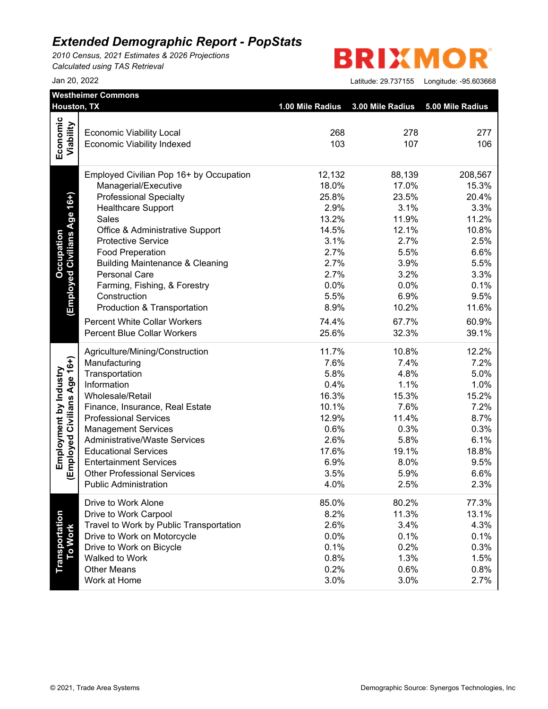*2010 Census, 2021 Estimates & 2026 Projections Calculated using TAS Retrieval*

# **BRIXMOR**

|                              | Houston, TX                                                         | 1.00 Mile Radius | 3.00 Mile Radius | 5.00 Mile Radius |
|------------------------------|---------------------------------------------------------------------|------------------|------------------|------------------|
| Economic                     |                                                                     |                  |                  |                  |
|                              | <b>Economic Viability Local</b>                                     | 268              | 278              | 277              |
| Viability                    | <b>Economic Viability Indexed</b>                                   | 103              | 107              | 106              |
|                              | Employed Civilian Pop 16+ by Occupation                             | 12,132           | 88,139           | 208,567          |
|                              | Managerial/Executive                                                | 18.0%            | 17.0%            | 15.3%            |
| Age 16+)                     | <b>Professional Specialty</b>                                       | 25.8%            | 23.5%            | 20.4%            |
|                              | <b>Healthcare Support</b>                                           | 2.9%             | 3.1%             | 3.3%             |
|                              | Sales                                                               | 13.2%            | 11.9%            | 11.2%            |
|                              | Office & Administrative Support                                     | 14.5%            | 12.1%            | 10.8%            |
| <b>Employed Civilians</b>    | <b>Protective Service</b>                                           | 3.1%             | 2.7%             | 2.5%             |
|                              | <b>Food Preperation</b>                                             | 2.7%             | 5.5%             | 6.6%             |
|                              | <b>Building Maintenance &amp; Cleaning</b>                          | 2.7%             | 3.9%             | 5.5%             |
|                              | <b>Personal Care</b>                                                | 2.7%             | 3.2%             | 3.3%             |
|                              | Farming, Fishing, & Forestry                                        | 0.0%             | 0.0%             | 0.1%             |
|                              | Construction                                                        | 5.5%             | 6.9%             | 9.5%             |
|                              | Production & Transportation                                         | 8.9%             | 10.2%            | 11.6%            |
|                              | <b>Percent White Collar Workers</b>                                 | 74.4%            | 67.7%            | 60.9%            |
|                              | <b>Percent Blue Collar Workers</b>                                  | 25.6%            | 32.3%            | 39.1%            |
|                              | Agriculture/Mining/Construction                                     | 11.7%            | 10.8%            | 12.2%            |
|                              | Manufacturing                                                       | 7.6%             | 7.4%             | 7.2%             |
|                              | Transportation                                                      | 5.8%             | 4.8%             | 5.0%             |
|                              | Information                                                         | 0.4%             | 1.1%             | 1.0%             |
|                              | Wholesale/Retail                                                    | 16.3%            | 15.3%            | 15.2%            |
|                              | Finance, Insurance, Real Estate                                     | 10.1%            | 7.6%             | 7.2%             |
|                              | <b>Professional Services</b>                                        | 12.9%            | 11.4%            | 8.7%             |
|                              | <b>Management Services</b>                                          | 0.6%             | 0.3%             | 0.3%             |
|                              | <b>Administrative/Waste Services</b>                                | 2.6%             | 5.8%             | 6.1%             |
|                              | <b>Educational Services</b>                                         | 17.6%            | 19.1%            | 18.8%            |
| (Employed Civilians Age 16+) | <b>Entertainment Services</b><br><b>Other Professional Services</b> | 6.9%<br>3.5%     | 8.0%<br>5.9%     | 9.5%<br>6.6%     |
|                              | <b>Public Administration</b>                                        | 4.0%             | 2.5%             | 2.3%             |
|                              | Drive to Work Alone                                                 | 85.0%            | 80.2%            | 77.3%            |
|                              | Drive to Work Carpool                                               | 8.2%             | 11.3%            | 13.1%            |
| Transportation<br>To Work    | Travel to Work by Public Transportation                             | 2.6%             | 3.4%             | 4.3%             |
|                              | Drive to Work on Motorcycle                                         | 0.0%             | 0.1%             | 0.1%             |
|                              | Drive to Work on Bicycle                                            | 0.1%             | 0.2%             | 0.3%             |
|                              | Walked to Work                                                      | 0.8%             | 1.3%             | 1.5%             |
|                              | <b>Other Means</b>                                                  | 0.2%             | 0.6%             | 0.8%             |
|                              | Work at Home                                                        | 3.0%             | 3.0%             | 2.7%             |